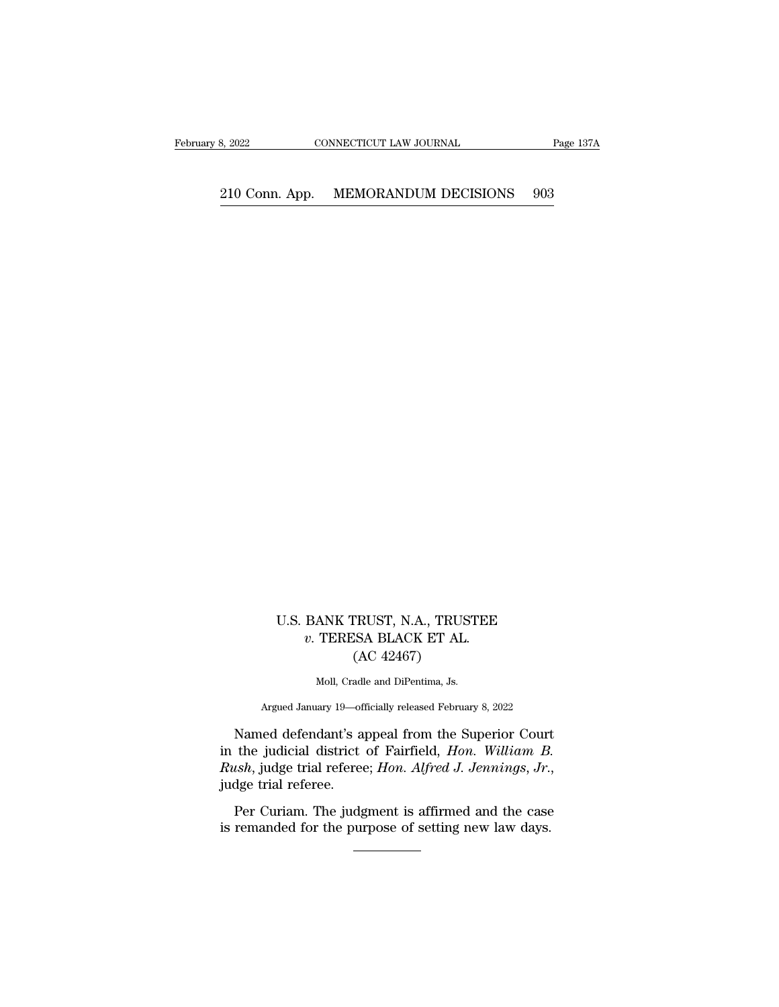## 2022 CONNECTICUT LAW JOURNAL Page 137A<br>210 Conn. App. MEMORANDUM DECISIONS 903

U.S. BANK TRUST, N.A., TRUSTEE<br>
v. TERESA BLACK ET AL.<br>
(AC 49457) **BANK TRUST, N.A., TRUSTEE** *v***. TERESA BLACK ET AL.** (AC 42467) TRUST, N.A., TRUS<br>ESA BLACK ET AL.<br>(AC 42467)<br><sub>adle and DiPentima, Js.</sub> ANK TRUST, N.A., TRUST.<br>TERESA BLACK ET AL.<br>(AC 42467)<br>Moll, Cradle and DiPentima, Js. % TERESA BLACK ET AL.<br>(AC 42467)<br>Moll, Cradle and DiPentima, Js.<br>Argued January 19—officially released February 8, 2022<br>Named defendant's appeal from the Superior Court

*v.* TERESA BLACK ET AL.<br>  $(AC 42467)$ <br>
Moll, Cradle and DiPentima, Js.<br>
Argued January 19—officially released February 8, 2022<br>
Named defendant's appeal from the Superior Court<br>
the judicial district of Fairfield, *Hon. W* (AC 42467)<br>
Moll, Cradle and DiPentima, Js.<br>
Argued January 19—officially released February 8, 2022<br>
Named defendant's appeal from the Superior Court<br>
in the judicial district of Fairfield, *Hon. William B.*<br>
Rush, judge t *Rush*, *Rusha*, judge trial referee; *Hon. Alfred J. Jennings*, *Jr.*, judge trial referee; *Hon. Alfred J. Jennings*, *Jr.*, judge trial referee. *Hon. Alfred J. Jennings*, *Jr.*, judge trial referee. Per Curiam. The jud Argued January 19—officially released February 8, 2022<br>Named defendant's appeal from the Superior Court<br>the judicial district of Fairfield, *Hon. William B.*<br>tsh, judge trial referee; *Hon. Alfred J. Jennings*, *Jr.*,<br>dge in the judicial district of Fairfield, *Hon. William B.*<br>*Rush*, judge trial referee; *Hon. Alfred J. Jennings*, *Jr.*, judge trial referee.<br>Per Curiam. The judgment is affirmed and the case is remanded for the purpose of